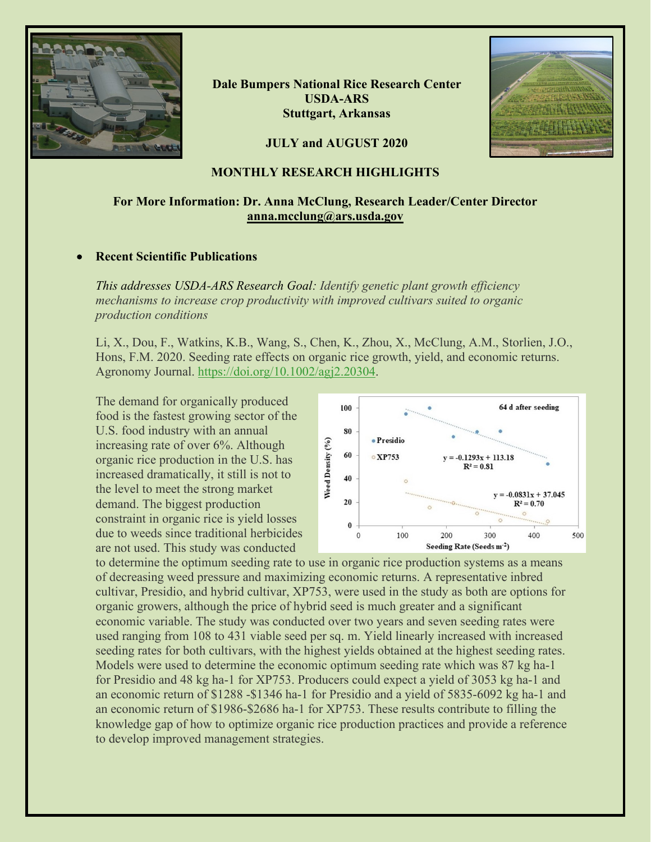

**Dale Bumpers National Rice Research Center USDA-ARS Stuttgart, Arkansas**



## **JULY and AUGUST 2020**

### **MONTHLY RESEARCH HIGHLIGHTS**

## **For More Information: Dr. Anna McClung, Research Leader/Center Director [anna.mcclung@ars.usda.gov](mailto:anna.mcclung@ars.usda.gov)**

#### • **Recent Scientific Publications**

*This addresses USDA-ARS Research Goal: Identify genetic plant growth efficiency mechanisms to increase crop productivity with improved cultivars suited to organic production conditions*

Li, X., Dou, F., Watkins, K.B., Wang, S., Chen, K., Zhou, X., McClung, A.M., Storlien, J.O., Hons, F.M. 2020. Seeding rate effects on organic rice growth, yield, and economic returns. Agronomy Journal. [https://doi.org/10.1002/agj2.20304.](https://doi.org/10.1002/agj2.20304)

The demand for organically produced food is the fastest growing sector of the U.S. food industry with an annual increasing rate of over 6%. Although organic rice production in the U.S. has increased dramatically, it still is not to the level to meet the strong market demand. The biggest production constraint in organic rice is yield losses due to weeds since traditional herbicides are not used. This study was conducted



to determine the optimum seeding rate to use in organic rice production systems as a means of decreasing weed pressure and maximizing economic returns. A representative inbred cultivar, Presidio, and hybrid cultivar, XP753, were used in the study as both are options for organic growers, although the price of hybrid seed is much greater and a significant economic variable. The study was conducted over two years and seven seeding rates were used ranging from 108 to 431 viable seed per sq. m. Yield linearly increased with increased seeding rates for both cultivars, with the highest yields obtained at the highest seeding rates. Models were used to determine the economic optimum seeding rate which was 87 kg ha-1 for Presidio and 48 kg ha-1 for XP753. Producers could expect a yield of 3053 kg ha-1 and an economic return of \$1288 -\$1346 ha-1 for Presidio and a yield of 5835-6092 kg ha-1 and an economic return of \$1986-\$2686 ha-1 for XP753. These results contribute to filling the knowledge gap of how to optimize organic rice production practices and provide a reference to develop improved management strategies.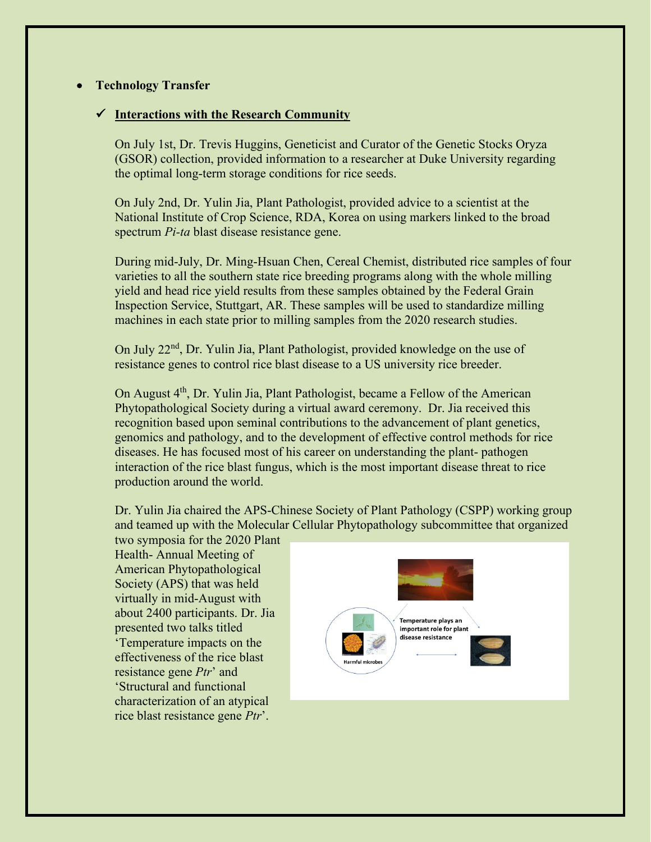## • **Technology Transfer**

### **Interactions with the Research Community**

On July 1st, Dr. Trevis Huggins, Geneticist and Curator of the Genetic Stocks Oryza (GSOR) collection, provided information to a researcher at Duke University regarding the optimal long-term storage conditions for rice seeds.

On July 2nd, Dr. Yulin Jia, Plant Pathologist, provided advice to a scientist at the National Institute of Crop Science, RDA, Korea on using markers linked to the broad spectrum *Pi-ta* blast disease resistance gene.

During mid-July, Dr. Ming-Hsuan Chen, Cereal Chemist, distributed rice samples of four varieties to all the southern state rice breeding programs along with the whole milling yield and head rice yield results from these samples obtained by the Federal Grain Inspection Service, Stuttgart, AR. These samples will be used to standardize milling machines in each state prior to milling samples from the 2020 research studies.

On July 22<sup>nd</sup>, Dr. Yulin Jia, Plant Pathologist, provided knowledge on the use of resistance genes to control rice blast disease to a US university rice breeder.

On August 4<sup>th</sup>, Dr. Yulin Jia, Plant Pathologist, became a Fellow of the American Phytopathological Society during a virtual award ceremony. Dr. Jia received this recognition based upon seminal contributions to the advancement of plant genetics, genomics and pathology, and to the development of effective control methods for rice diseases. He has focused most of his career on understanding the plant- pathogen interaction of the rice blast fungus, which is the most important disease threat to rice production around the world.

Dr. Yulin Jia chaired the APS-Chinese Society of Plant Pathology (CSPP) working group and teamed up with the Molecular Cellular Phytopathology subcommittee that organized

two symposia for the 2020 Plant Health- Annual Meeting of American Phytopathological Society (APS) that was held virtually in mid-August with about 2400 participants. Dr. Jia presented two talks titled 'Temperature impacts on the effectiveness of the rice blast resistance gene *Ptr*' and 'Structural and functional characterization of an atypical rice blast resistance gene *Ptr*'.

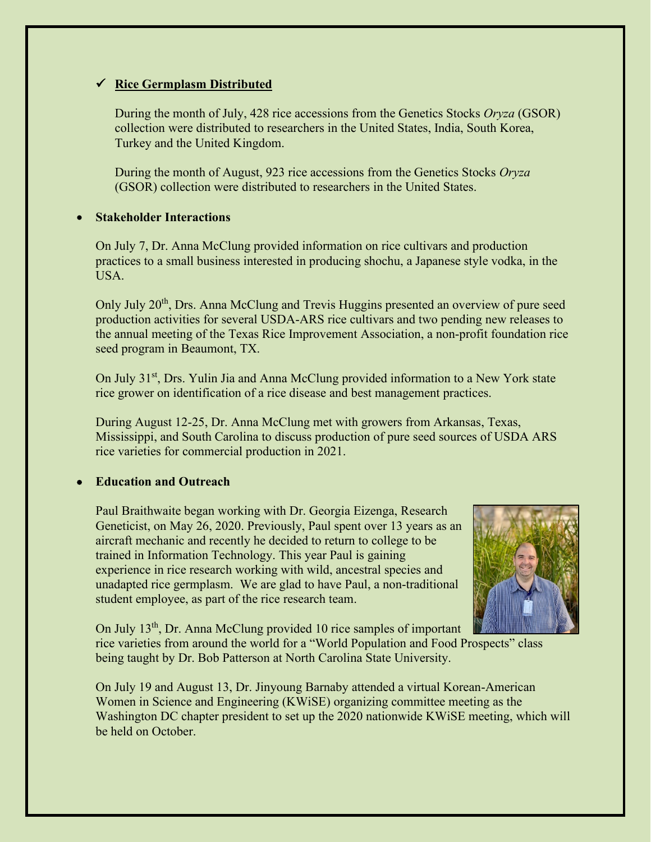# **Rice Germplasm Distributed**

During the month of July, 428 rice accessions from the Genetics Stocks *Oryza* (GSOR) collection were distributed to researchers in the United States, India, South Korea, Turkey and the United Kingdom.

During the month of August, 923 rice accessions from the Genetics Stocks *Oryza*  (GSOR) collection were distributed to researchers in the United States.

## • **Stakeholder Interactions**

On July 7, Dr. Anna McClung provided information on rice cultivars and production practices to a small business interested in producing shochu, a Japanese style vodka, in the USA.

Only July 20<sup>th</sup>, Drs. Anna McClung and Trevis Huggins presented an overview of pure seed production activities for several USDA-ARS rice cultivars and two pending new releases to the annual meeting of the Texas Rice Improvement Association, a non-profit foundation rice seed program in Beaumont, TX.

On July 31<sup>st</sup>, Drs. Yulin Jia and Anna McClung provided information to a New York state rice grower on identification of a rice disease and best management practices.

During August 12-25, Dr. Anna McClung met with growers from Arkansas, Texas, Mississippi, and South Carolina to discuss production of pure seed sources of USDA ARS rice varieties for commercial production in 2021.

# • **Education and Outreach**

Paul Braithwaite began working with Dr. Georgia Eizenga, Research Geneticist, on May 26, 2020. Previously, Paul spent over 13 years as an aircraft mechanic and recently he decided to return to college to be trained in Information Technology. This year Paul is gaining experience in rice research working with wild, ancestral species and unadapted rice germplasm. We are glad to have Paul, a non-traditional student employee, as part of the rice research team.



On July 13<sup>th</sup>, Dr. Anna McClung provided 10 rice samples of important

rice varieties from around the world for a "World Population and Food Prospects" class being taught by Dr. Bob Patterson at North Carolina State University.

On July 19 and August 13, Dr. Jinyoung Barnaby attended a virtual Korean-American Women in Science and Engineering (KWiSE) organizing committee meeting as the Washington DC chapter president to set up the 2020 nationwide KWiSE meeting, which will be held on October.